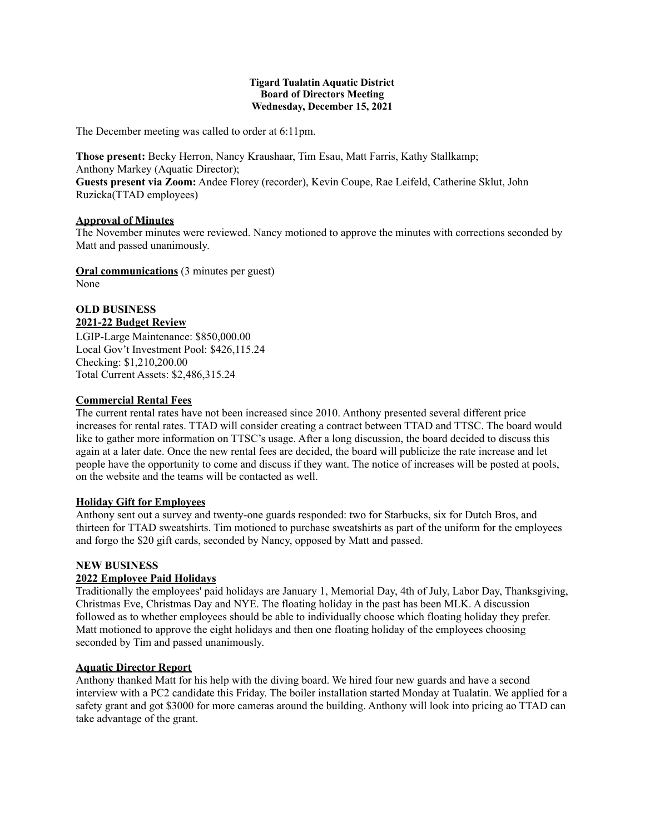#### **Tigard Tualatin Aquatic District Board of Directors Meeting Wednesday, December 15, 2021**

The December meeting was called to order at 6:11pm.

**Those present:** Becky Herron, Nancy Kraushaar, Tim Esau, Matt Farris, Kathy Stallkamp; Anthony Markey (Aquatic Director);

**Guests present via Zoom:** Andee Florey (recorder), Kevin Coupe, Rae Leifeld, Catherine Sklut, John Ruzicka(TTAD employees)

# **Approval of Minutes**

The November minutes were reviewed. Nancy motioned to approve the minutes with corrections seconded by Matt and passed unanimously.

**Oral communications** (3 minutes per guest) None

### **OLD BUSINESS 2021-22 Budget Review**

LGIP-Large Maintenance: \$850,000.00 Local Gov't Investment Pool: \$426,115.24 Checking: \$1,210,200.00 Total Current Assets: \$2,486,315.24

### **Commercial Rental Fees**

The current rental rates have not been increased since 2010. Anthony presented several different price increases for rental rates. TTAD will consider creating a contract between TTAD and TTSC. The board would like to gather more information on TTSC's usage. After a long discussion, the board decided to discuss this again at a later date. Once the new rental fees are decided, the board will publicize the rate increase and let people have the opportunity to come and discuss if they want. The notice of increases will be posted at pools, on the website and the teams will be contacted as well.

## **Holiday Gift for Employees**

Anthony sent out a survey and twenty-one guards responded: two for Starbucks, six for Dutch Bros, and thirteen for TTAD sweatshirts. Tim motioned to purchase sweatshirts as part of the uniform for the employees and forgo the \$20 gift cards, seconded by Nancy, opposed by Matt and passed.

#### **NEW BUSINESS**

## **2022 Employee Paid Holidays**

Traditionally the employees' paid holidays are January 1, Memorial Day, 4th of July, Labor Day, Thanksgiving, Christmas Eve, Christmas Day and NYE. The floating holiday in the past has been MLK. A discussion followed as to whether employees should be able to individually choose which floating holiday they prefer. Matt motioned to approve the eight holidays and then one floating holiday of the employees choosing seconded by Tim and passed unanimously.

#### **Aquatic Director Report**

Anthony thanked Matt for his help with the diving board. We hired four new guards and have a second interview with a PC2 candidate this Friday. The boiler installation started Monday at Tualatin. We applied for a safety grant and got \$3000 for more cameras around the building. Anthony will look into pricing ao TTAD can take advantage of the grant.